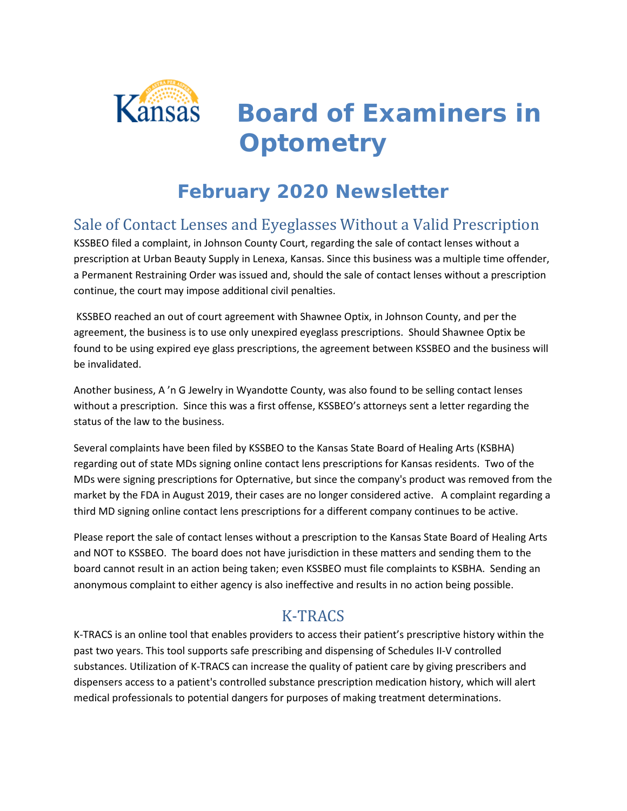

*Board of Examiners in Optometry*

# **February 2020 Newsletter**

## Sale of Contact Lenses and Eyeglasses Without a Valid Prescription

KSSBEO filed a complaint, in Johnson County Court, regarding the sale of contact lenses without a prescription at Urban Beauty Supply in Lenexa, Kansas. Since this business was a multiple time offender, a Permanent Restraining Order was issued and, should the sale of contact lenses without a prescription continue, the court may impose additional civil penalties.

KSSBEO reached an out of court agreement with Shawnee Optix, in Johnson County, and per the agreement, the business is to use only unexpired eyeglass prescriptions. Should Shawnee Optix be found to be using expired eye glass prescriptions, the agreement between KSSBEO and the business will be invalidated.

Another business, A 'n G Jewelry in Wyandotte County, was also found to be selling contact lenses without a prescription. Since this was a first offense, KSSBEO's attorneys sent a letter regarding the status of the law to the business.

Several complaints have been filed by KSSBEO to the Kansas State Board of Healing Arts (KSBHA) regarding out of state MDs signing online contact lens prescriptions for Kansas residents. Two of the MDs were signing prescriptions for Opternative, but since the company's product was removed from the market by the FDA in August 2019, their cases are no longer considered active. A complaint regarding a third MD signing online contact lens prescriptions for a different company continues to be active.

Please report the sale of contact lenses without a prescription to the Kansas State Board of Healing Arts and NOT to KSSBEO. The board does not have jurisdiction in these matters and sending them to the board cannot result in an action being taken; even KSSBEO must file complaints to KSBHA. Sending an anonymous complaint to either agency is also ineffective and results in no action being possible.

## K-TRACS

K-TRACS is an online tool that enables providers to access their patient's prescriptive history within the past two years. This tool supports safe prescribing and dispensing of Schedules II-V controlled substances. Utilization of K-TRACS can increase the quality of patient care by giving prescribers and dispensers access to a patient's controlled substance prescription medication history, which will alert medical professionals to potential dangers for purposes of making treatment determinations.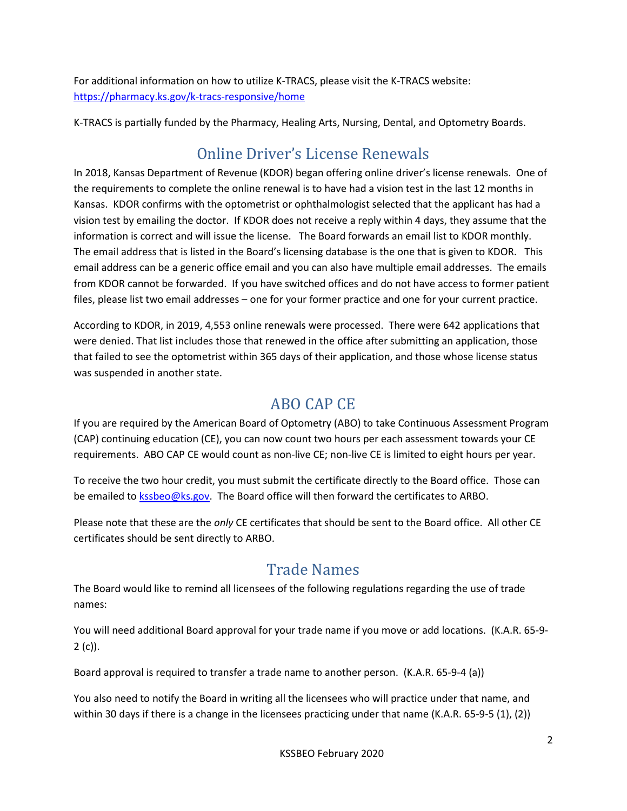For additional information on how to utilize K-TRACS, please visit the K-TRACS website: <https://pharmacy.ks.gov/k-tracs-responsive/home>

K-TRACS is partially funded by the Pharmacy, Healing Arts, Nursing, Dental, and Optometry Boards.

# Online Driver's License Renewals

In 2018, Kansas Department of Revenue (KDOR) began offering online driver's license renewals. One of the requirements to complete the online renewal is to have had a vision test in the last 12 months in Kansas. KDOR confirms with the optometrist or ophthalmologist selected that the applicant has had a vision test by emailing the doctor. If KDOR does not receive a reply within 4 days, they assume that the information is correct and will issue the license. The Board forwards an email list to KDOR monthly. The email address that is listed in the Board's licensing database is the one that is given to KDOR. This email address can be a generic office email and you can also have multiple email addresses. The emails from KDOR cannot be forwarded. If you have switched offices and do not have access to former patient files, please list two email addresses – one for your former practice and one for your current practice.

According to KDOR, in 2019, 4,553 online renewals were processed. There were 642 applications that were denied. That list includes those that renewed in the office after submitting an application, those that failed to see the optometrist within 365 days of their application, and those whose license status was suspended in another state.

#### ABO CAP CE

If you are required by the American Board of Optometry (ABO) to take Continuous Assessment Program (CAP) continuing education (CE), you can now count two hours per each assessment towards your CE requirements. ABO CAP CE would count as non-live CE; non-live CE is limited to eight hours per year.

To receive the two hour credit, you must submit the certificate directly to the Board office. Those can be emailed to [kssbeo@ks.gov.](mailto:kssbeo@ks.gov) The Board office will then forward the certificates to ARBO.

Please note that these are the *only* CE certificates that should be sent to the Board office. All other CE certificates should be sent directly to ARBO.

## Trade Names

The Board would like to remind all licensees of the following regulations regarding the use of trade names:

You will need additional Board approval for your trade name if you move or add locations. (K.A.R. 65-9- 2 (c)).

Board approval is required to transfer a trade name to another person. (K.A.R. 65-9-4 (a))

You also need to notify the Board in writing all the licensees who will practice under that name, and within 30 days if there is a change in the licensees practicing under that name (K.A.R. 65-9-5 (1), (2))